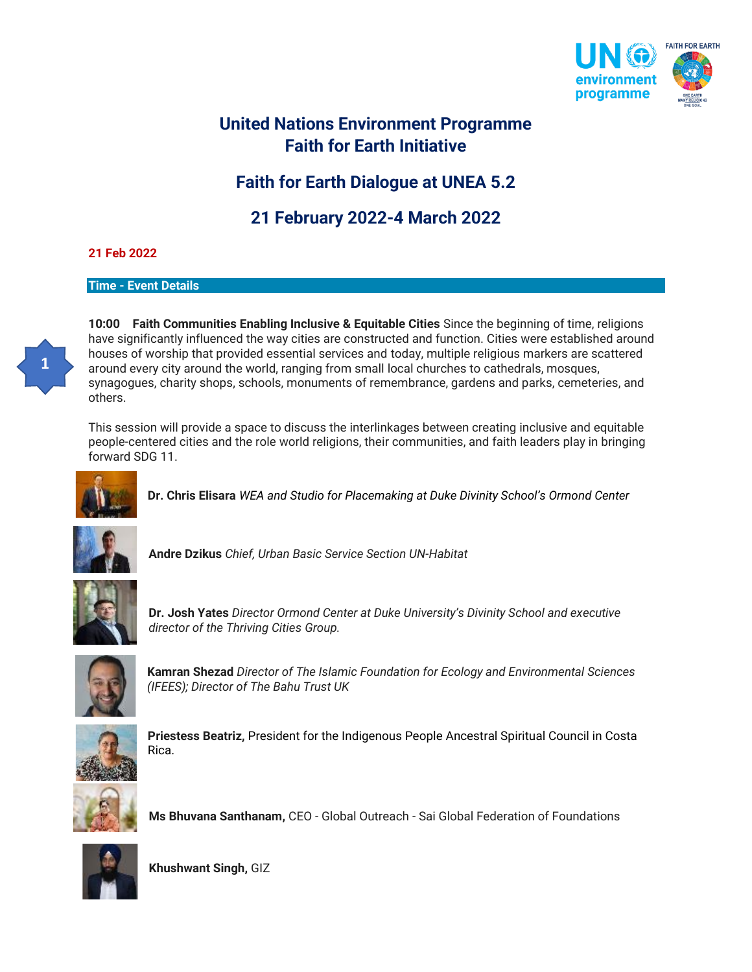

# **United Nations Environment Programme Faith for Earth Initiative**

# **Faith for Earth Dialogue at UNEA 5.2**

**21 February 2022-4 March 2022**

# **21 Feb 2022**

## **Time - Event Details**



**10:00 Faith Communities Enabling Inclusive & Equitable Cities** Since the beginning of time, religions have significantly influenced the way cities are constructed and function. Cities were established around houses of worship that provided essential services and today, multiple religious markers are scattered around every city around the world, ranging from small local churches to cathedrals, mosques, synagogues, charity shops, schools, monuments of remembrance, gardens and parks, cemeteries, and others.

This session will provide a space to discuss the interlinkages between creating inclusive and equitable people-centered cities and the role world religions, their communities, and faith leaders play in bringing forward SDG 11.



**Dr. Chris Elisara** *WEA and Studio for Placemaking at Duke Divinity School's Ormond Center*



**Andre Dzikus** *Chief, Urban Basic Service Section UN-Habitat*



**Dr. Josh Yates** *Director Ormond Center at Duke University's Divinity School and executive director of the Thriving Cities Group.*



**Kamran Shezad** *Director of The Islamic Foundation for Ecology and Environmental Sciences (IFEES); Director of The Bahu Trust UK*



**Priestess Beatriz,** President for the Indigenous People Ancestral Spiritual Council in Costa Rica.



**Ms Bhuvana Santhanam,** CEO - Global Outreach - Sai Global Federation of Foundations



**Khushwant Singh,** GIZ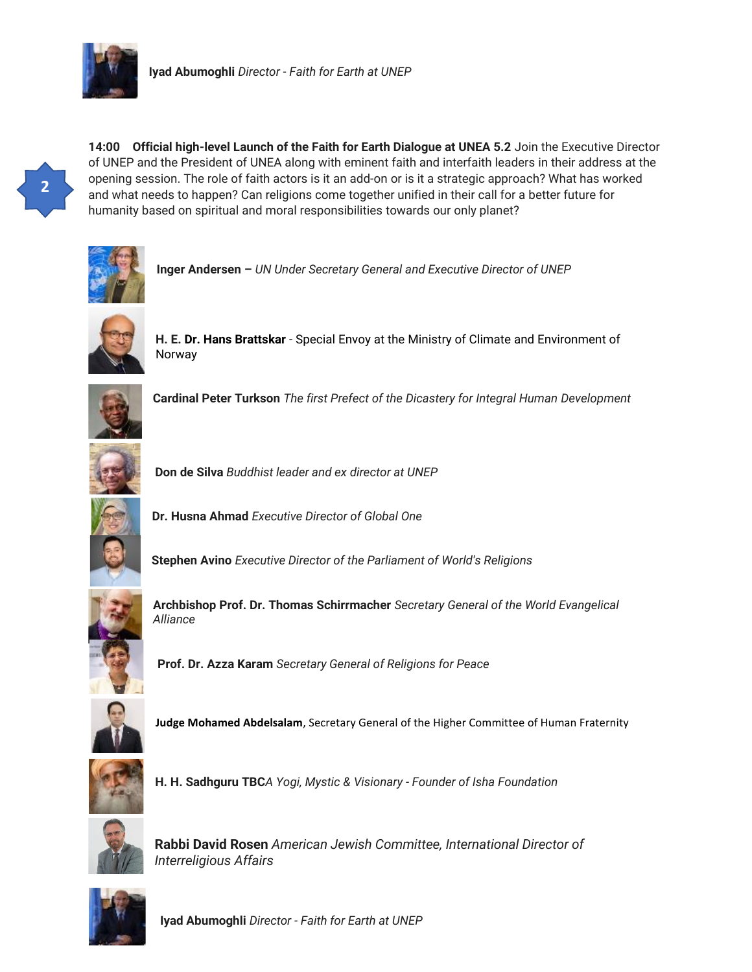

**14:00 Official high-level Launch of the Faith for Earth Dialogue at UNEA 5.2** Join the Executive Director of UNEP and the President of UNEA along with eminent faith and interfaith leaders in their address at the opening session. The role of faith actors is it an add-on or is it a strategic approach? What has worked and what needs to happen? Can religions come together unified in their call for a better future for humanity based on spiritual and moral responsibilities towards our only planet?



**Inger Andersen –** *UN Under Secretary General and Executive Director of UNEP*



**H. E. Dr. Hans Brattskar** - Special Envoy at the Ministry of Climate and Environment of Norway



**Cardinal Peter Turkson** *The first Prefect of the Dicastery for Integral Human Development*



**Don de Silva** *Buddhist leader and ex director at UNEP*



**Dr. Husna Ahmad** *Executive Director of Global One*

**Stephen Avino** *Executive Director of the Parliament of World's Religions*



**Archbishop Prof. Dr. Thomas Schirrmacher** *Secretary General of the World Evangelical Alliance*

**Prof. Dr. Azza Karam** *Secretary General of Religions for Peace*



**Judge Mohamed Abdelsalam**, Secretary General of the Higher Committee of Human Fraternity



**H. H. Sadhguru TBC***A Yogi, Mystic & Visionary - Founder of Isha Foundation*



**Rabbi David Rosen** *American Jewish Committee, International Director of Interreligious Affairs*



**Iyad Abumoghli** *Director - Faith for Earth at UNEP*

**2**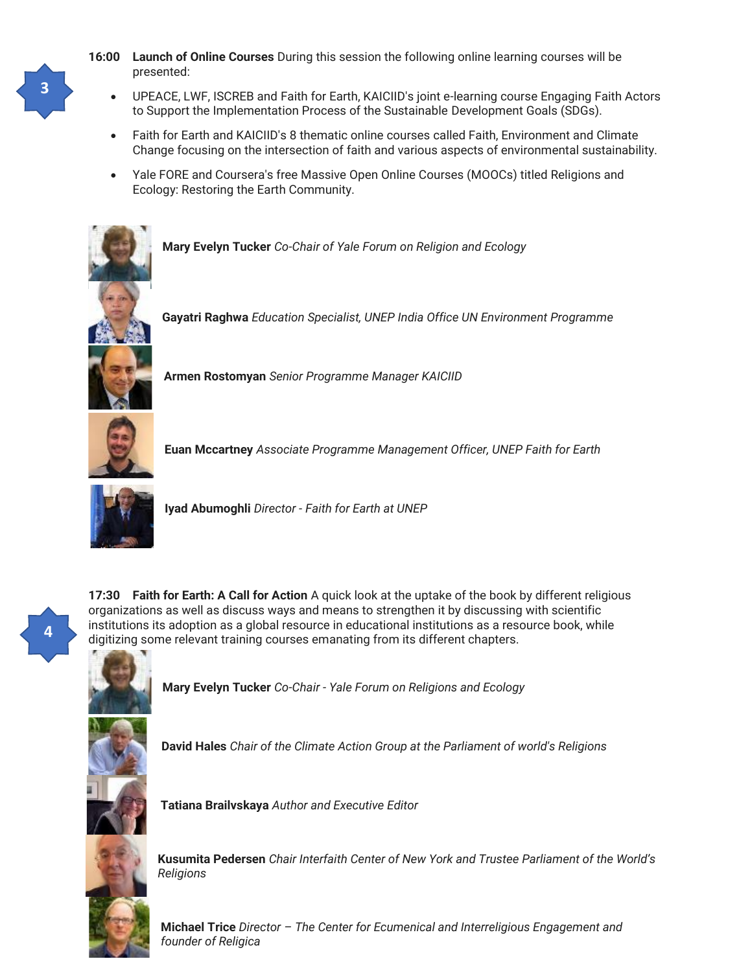- **16:00 Launch of Online Courses** During this session the following online learning courses will be presented:
	- UPEACE, LWF, ISCREB and Faith for Earth, KAICIID's joint e-learning course Engaging Faith Actors to Support the Implementation Process of the Sustainable Development Goals (SDGs).
	- Faith for Earth and KAICIID's 8 thematic online courses called Faith, Environment and Climate Change focusing on the intersection of faith and various aspects of environmental sustainability.
	- Yale FORE and Coursera's free Massive Open Online Courses (MOOCs) titled Religions and Ecology: Restoring the Earth Community.



**Mary Evelyn Tucker** *Co-Chair of Yale Forum on Religion and Ecology*

**Armen Rostomyan** *Senior Programme Manager KAICIID*



**Euan Mccartney** *Associate Programme Management Officer, UNEP Faith for Earth* 

**Gayatri Raghwa** *Education Specialist, UNEP India Office UN Environment Programme*



**Iyad Abumoghli** *Director - Faith for Earth at UNEP*



**17:30 Faith for Earth: A Call for Action** A quick look at the uptake of the book by different religious organizations as well as discuss ways and means to strengthen it by discussing with scientific institutions its adoption as a global resource in educational institutions as a resource book, while digitizing some relevant training courses emanating from its different chapters.



**Mary Evelyn Tucker** *Co-Chair - Yale Forum on Religions and Ecology*



**David Hales** *Chair of the Climate Action Group at the Parliament of world's Religions*



**Tatiana Brailvskaya** *Author and Executive Editor*



**Kusumita Pedersen** *Chair Interfaith Center of New York and Trustee Parliament of the World's Religions*

**Michael Trice** *Director – The Center for Ecumenical and Interreligious Engagement and founder of Religica*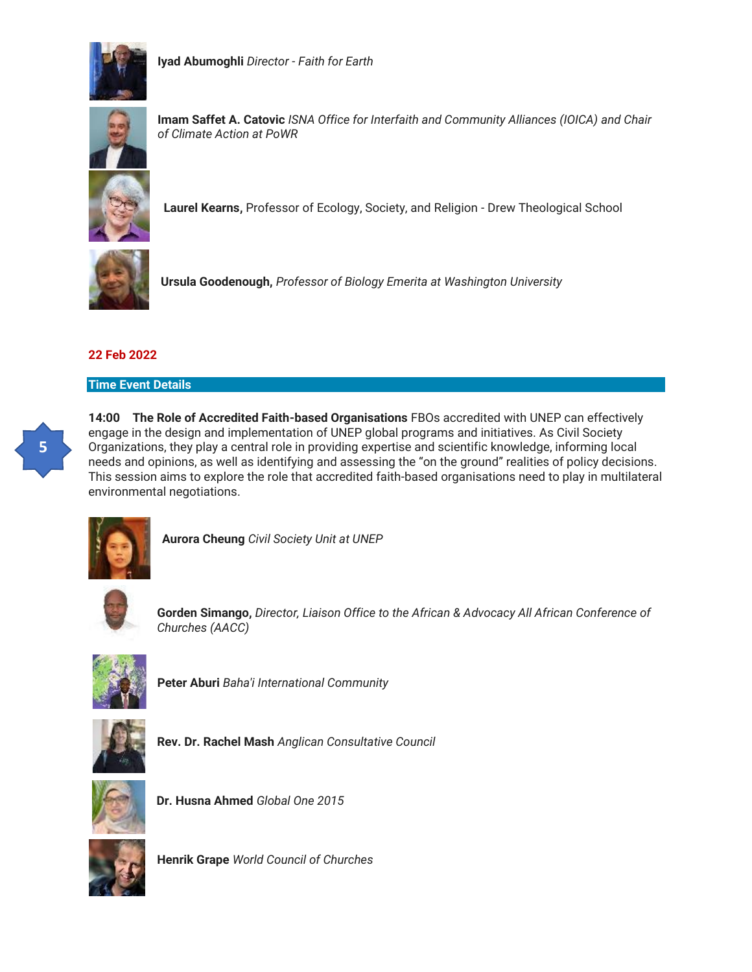



**Imam Saffet A. Catovic** *ISNA Office for Interfaith and Community Alliances (IOICA) and Chair of Climate Action at PoWR*



**[Laurel Kearns,](http://www.drew.edu/directory/?q=email:&utm_source=FIL_Email_Footer&utm_medium=email&utm_campaign=FIL%2BEmail%2BFooter)** Professor of Ecology, Society, and Religion - [Drew Theological School](https://www.drew.edu/theological-school/our-faculty-inspiring-leaders/?utm_source=FIL_Email_Footer&utm_medium=email&utm_campaign=FIL%2BEmail%2BFooter)



**Ursula Goodenough,** *Professor of Biology Emerita at Washington University*

# **22 Feb 2022**

### **Time Event Details**



**14:00 The Role of Accredited Faith-based Organisations** FBOs accredited with UNEP can effectively engage in the design and implementation of UNEP global programs and initiatives. As Civil Society Organizations, they play a central role in providing expertise and scientific knowledge, informing local needs and opinions, as well as identifying and assessing the "on the ground" realities of policy decisions. This session aims to explore the role that accredited faith-based organisations need to play in multilateral environmental negotiations.



**Aurora Cheung** *Civil Society Unit at UNEP*



**Gorden Simango,** *Director, Liaison Office to the African & Advocacy All African Conference of Churches (AACC)*



**Peter Aburi** *Baha'i International Community*



**Rev. Dr. Rachel Mash** *Anglican Consultative Council*



**Dr. Husna Ahmed** *Global One 2015*



**Henrik Grape** *World Council of Churches*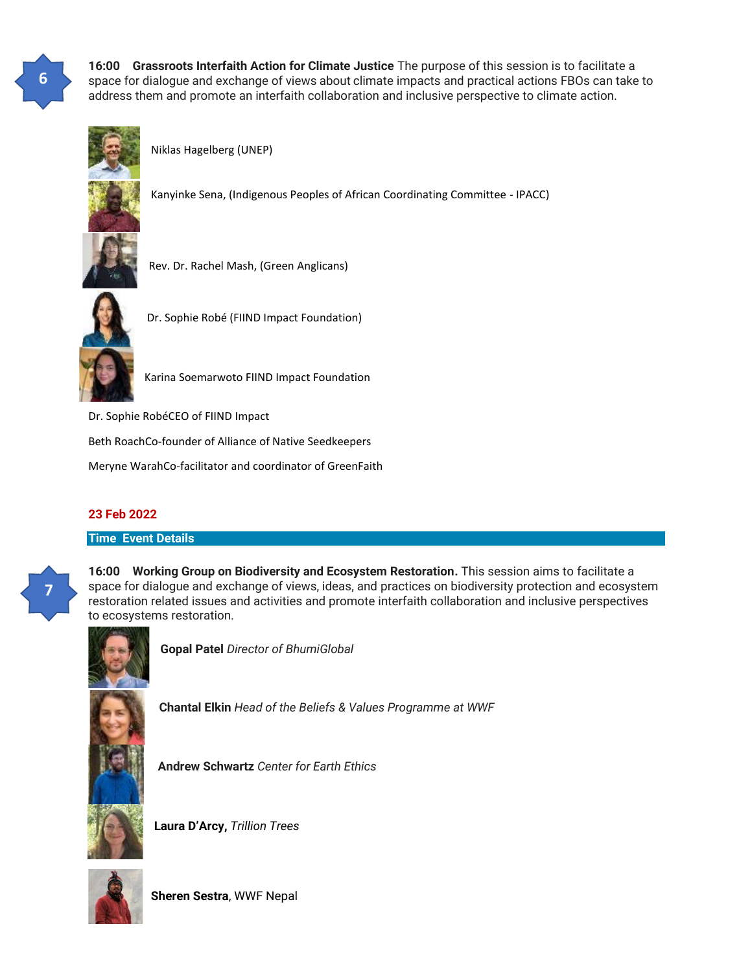

**16:00 Grassroots Interfaith Action for Climate Justice** The purpose of this session is to facilitate a space for dialogue and exchange of views about climate impacts and practical actions FBOs can take to address them and promote an interfaith collaboration and inclusive perspective to climate action.



Niklas Hagelberg (UNEP)

Kanyinke Sena, (Indigenous Peoples of African Coordinating Committee - IPACC)



Rev. Dr. Rachel Mash, (Green Anglicans)



Dr. Sophie Robé (FIIND Impact Foundation)

Karina Soemarwoto FIIND Impact Foundation

Dr. Sophie RobéCEO of FIIND Impact Beth RoachCo-founder of Alliance of Native Seedkeepers Meryne WarahCo-facilitator and coordinator of GreenFaith

## **23 Feb 2022**

## **Time Event Details**

**7**

**16:00 Working Group on Biodiversity and Ecosystem Restoration.** This session aims to facilitate a space for dialogue and exchange of views, ideas, and practices on biodiversity protection and ecosystem restoration related issues and activities and promote interfaith collaboration and inclusive perspectives to ecosystems restoration.



**Gopal Patel** *Director of BhumiGlobal*



**Chantal Elkin** *Head of the Beliefs & Values Programme at WWF*

**Andrew Schwartz** *Center for Earth Ethics* 



**Laura D'Arcy,** *Trillion Trees*



**Sheren Sestra**, WWF Nepal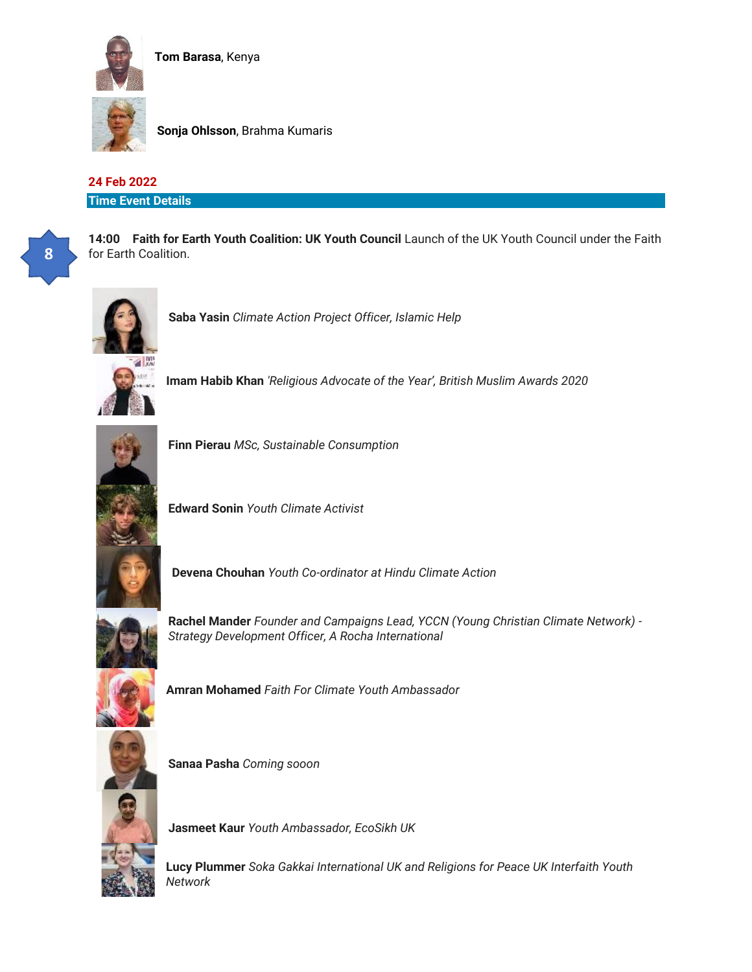

**Tom Barasa**, Kenya

**Sonja Ohlsson**, Brahma Kumaris

**24 Feb 2022 Time Event Details**



**14:00 Faith for Earth Youth Coalition: UK Youth Council** Launch of the UK Youth Council under the Faith for Earth Coalition.



**Saba Yasin** *Climate Action Project Officer, Islamic Help*

**Imam Habib Khan** *'Religious Advocate of the Year', British Muslim Awards 2020*



**Finn Pierau** *MSc, Sustainable Consumption*

**Edward Sonin** *Youth Climate Activist*

**Devena Chouhan** *Youth Co-ordinator at Hindu Climate Action*



**Rachel Mander** *Founder and Campaigns Lead, YCCN (Young Christian Climate Network) - Strategy Development Officer, A Rocha International*



**Amran Mohamed** *Faith For Climate Youth Ambassador*



**Sanaa Pasha** *Coming sooon*

**Jasmeet Kaur** *Youth Ambassador, EcoSikh UK*

**Lucy Plummer** *Soka Gakkai International UK and Religions for Peace UK Interfaith Youth Network*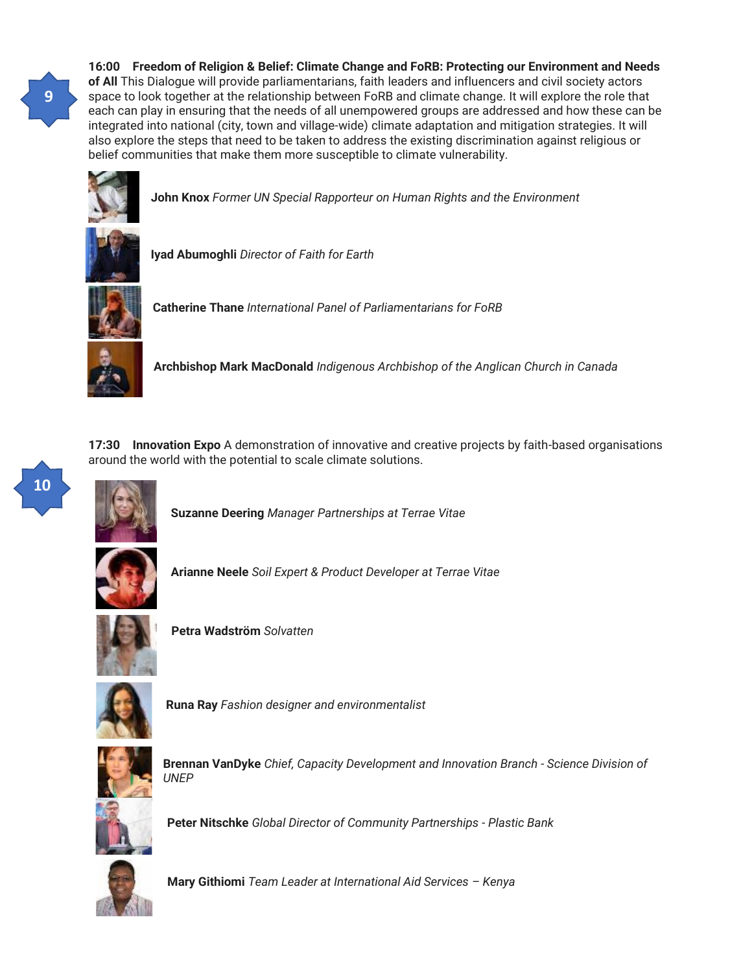

**10**

**16:00 Freedom of Religion & Belief: Climate Change and FoRB: Protecting our Environment and Needs of All** This Dialogue will provide parliamentarians, faith leaders and influencers and civil society actors space to look together at the relationship between FoRB and climate change. It will explore the role that each can play in ensuring that the needs of all unempowered groups are addressed and how these can be integrated into national (city, town and village-wide) climate adaptation and mitigation strategies. It will also explore the steps that need to be taken to address the existing discrimination against religious or belief communities that make them more susceptible to climate vulnerability.



**John Knox** *Former UN Special Rapporteur on Human Rights and the Environment*



**Iyad Abumoghli** *Director of Faith for Earth*



**Catherine Thane** *International Panel of Parliamentarians for FoRB*



**Archbishop Mark MacDonald** *Indigenous Archbishop of the Anglican Church in Canada*

**17:30 Innovation Expo** A demonstration of innovative and creative projects by faith-based organisations around the world with the potential to scale climate solutions.



**Suzanne Deering** *Manager Partnerships at Terrae Vitae*



**Arianne Neele** *Soil Expert & Product Developer at Terrae Vitae*



**Petra Wadström** *Solvatten*



**Runa Ray** *Fashion designer and environmentalist*



**Brennan VanDyke** *Chief, Capacity Development and Innovation Branch - Science Division of UNEP*



**Peter Nitschke** *Global Director of Community Partnerships - Plastic Bank*



**Mary Githiomi** *Team Leader at International Aid Services – Kenya*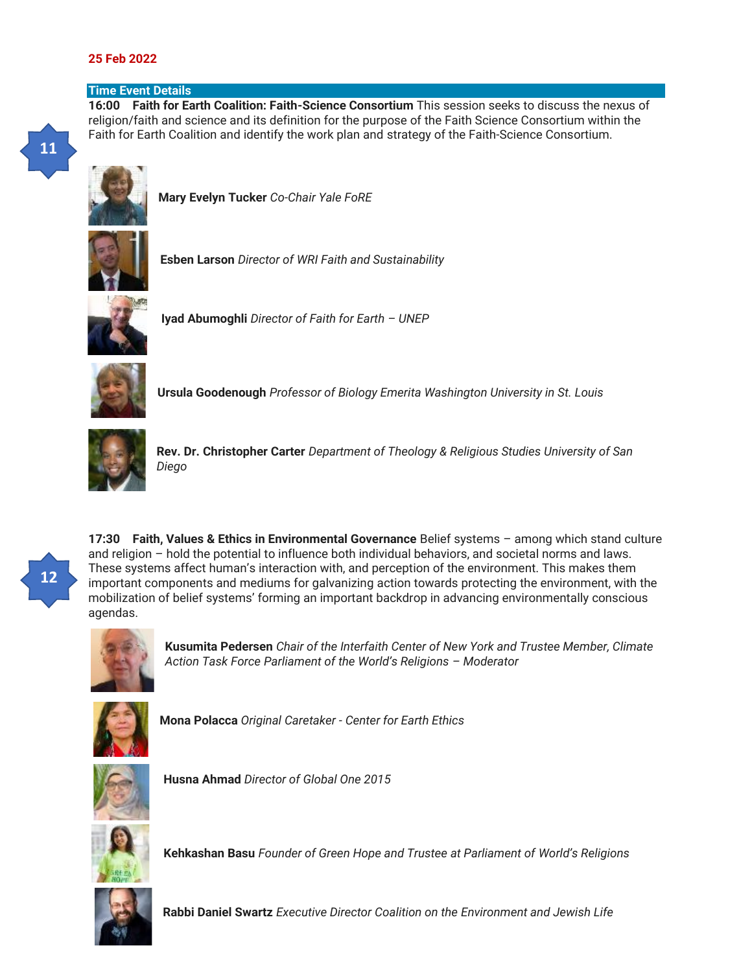## **25 Feb 2022**

### **Time Event Details**

**16:00 Faith for Earth Coalition: Faith-Science Consortium** This session seeks to discuss the nexus of religion/faith and science and its definition for the purpose of the Faith Science Consortium within the Faith for Earth Coalition and identify the work plan and strategy of the Faith-Science Consortium.



**Mary Evelyn Tucker** *Co-Chair Yale FoRE*



**Esben Larson** *Director of WRI Faith and Sustainability*



**Iyad Abumoghli** *Director of Faith for Earth – UNEP*



**Ursula Goodenough** *Professor of Biology Emerita Washington University in St. Louis*



**Rev. Dr. Christopher Carter** *Department of Theology & Religious Studies University of San Diego*



**17:30 Faith, Values & Ethics in Environmental Governance** Belief systems – among which stand culture and religion – hold the potential to influence both individual behaviors, and societal norms and laws. These systems affect human's interaction with, and perception of the environment. This makes them important components and mediums for galvanizing action towards protecting the environment, with the mobilization of belief systems' forming an important backdrop in advancing environmentally conscious agendas.



**Kusumita Pedersen** *Chair of the Interfaith Center of New York and Trustee Member, Climate Action Task Force Parliament of the World's Religions – Moderator*



**Mona Polacca** *Original Caretaker - Center for Earth Ethics*



**Husna Ahmad** *Director of Global One 2015*



**Kehkashan Basu** *Founder of Green Hope and Trustee at Parliament of World's Religions*



**Rabbi Daniel Swartz** *Executive Director Coalition on the Environment and Jewish Life*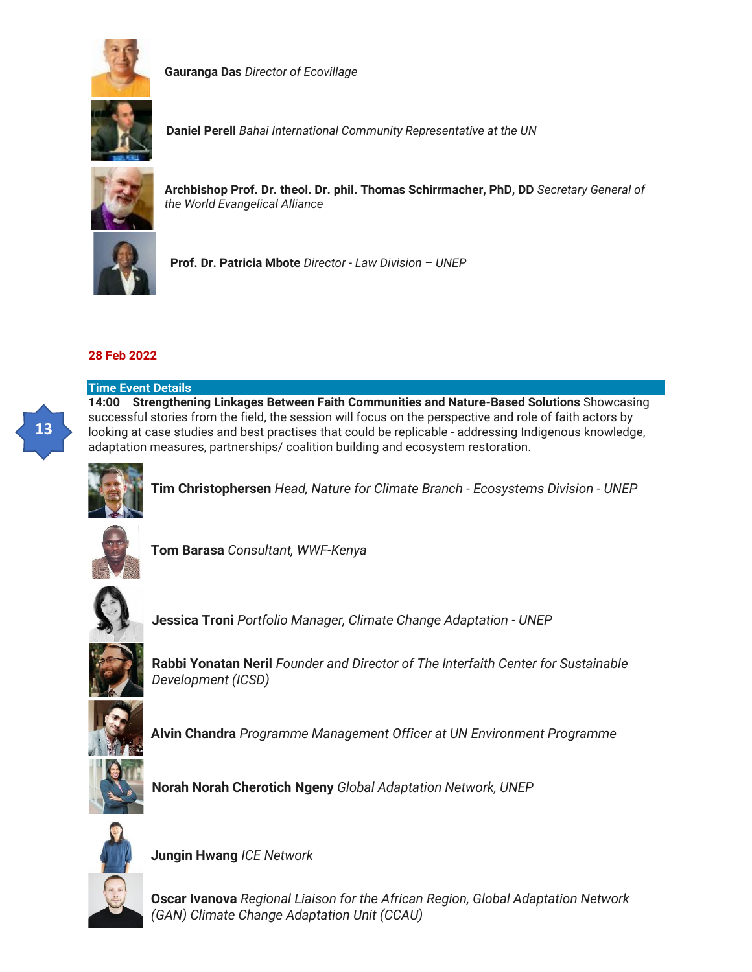

**Gauranga Das** *Director of Ecovillage*



**Daniel Perell** *Bahai International Community Representative at the UN*



**Archbishop Prof. Dr. theol. Dr. phil. Thomas Schirrmacher, PhD, DD** *Secretary General of the World Evangelical Alliance*



**Prof. Dr. Patricia Mbote** *Director - Law Division – UNEP*

# **28 Feb 2022**

# **Time Event Details**

**14:00 Strengthening Linkages Between Faith Communities and Nature-Based Solutions** Showcasing successful stories from the field, the session will focus on the perspective and role of faith actors by looking at case studies and best practises that could be replicable - addressing Indigenous knowledge, adaptation measures, partnerships/ coalition building and ecosystem restoration.



**Tim Christophersen** *Head, Nature for Climate Branch - Ecosystems Division - UNEP*



**Tom Barasa** *Consultant, WWF-Kenya*



**Jessica Troni** *Portfolio Manager, Climate Change Adaptation - UNEP*



**Rabbi Yonatan Neril** *Founder and Director of The Interfaith Center for Sustainable Development (ICSD)*



**Alvin Chandra** *Programme Management Officer at UN Environment Programme*



**Norah Norah Cherotich Ngeny** *Global Adaptation Network, UNEP*



**Jungin Hwang** *ICE Network*

**Oscar Ivanova** *Regional Liaison for the African Region, Global Adaptation Network (GAN) Climate Change Adaptation Unit (CCAU)*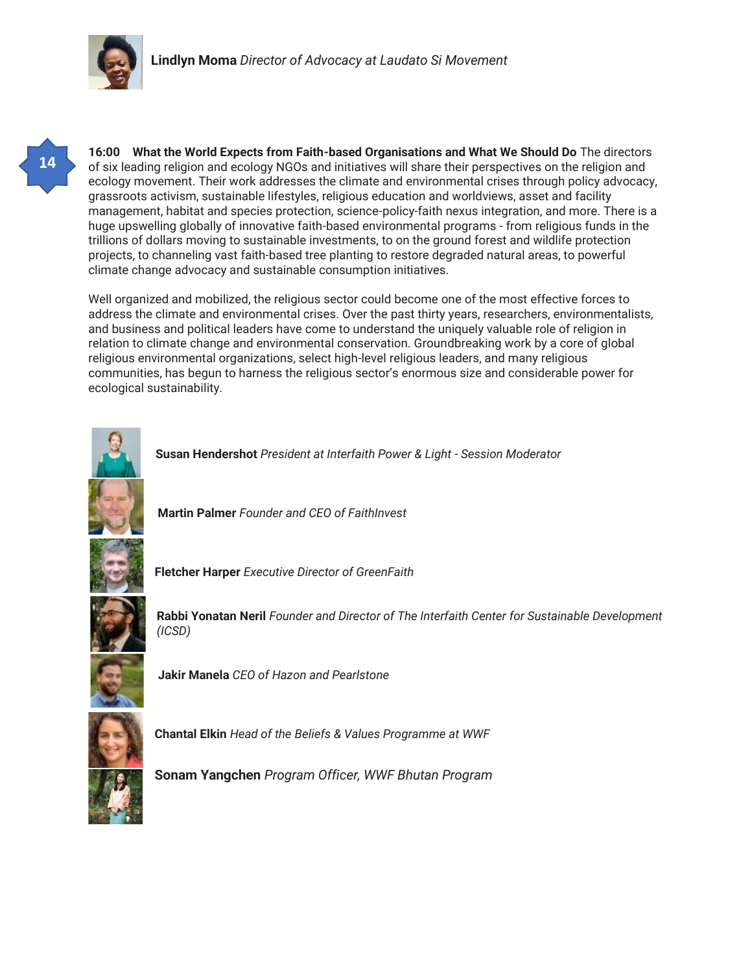

**14**

**16:00 What the World Expects from Faith-based Organisations and What We Should Do** The directors of six leading religion and ecology NGOs and initiatives will share their perspectives on the religion and ecology movement. Their work addresses the climate and environmental crises through policy advocacy, grassroots activism, sustainable lifestyles, religious education and worldviews, asset and facility management, habitat and species protection, science-policy-faith nexus integration, and more. There is a huge upswelling globally of innovative faith-based environmental programs - from religious funds in the trillions of dollars moving to sustainable investments, to on the ground forest and wildlife protection projects, to channeling vast faith-based tree planting to restore degraded natural areas, to powerful climate change advocacy and sustainable consumption initiatives.

Well organized and mobilized, the religious sector could become one of the most effective forces to address the climate and environmental crises. Over the past thirty years, researchers, environmentalists, and business and political leaders have come to understand the uniquely valuable role of religion in relation to climate change and environmental conservation. Groundbreaking work by a core of global religious environmental organizations, select high-level religious leaders, and many religious communities, has begun to harness the religious sector's enormous size and considerable power for ecological sustainability.



**Susan Hendershot** *President at Interfaith Power & Light - Session Moderator*



**Martin Palmer** *Founder and CEO of FaithInvest*



**Fletcher Harper** *Executive Director of GreenFaith*



**Rabbi Yonatan Neril** *Founder and Director of The Interfaith Center for Sustainable Development (ICSD)*



**Jakir Manela** *CEO of Hazon and Pearlstone*



**Chantal Elkin** *Head of the Beliefs & Values Programme at WWF*

**Sonam Yangchen** *Program Officer, WWF Bhutan Program*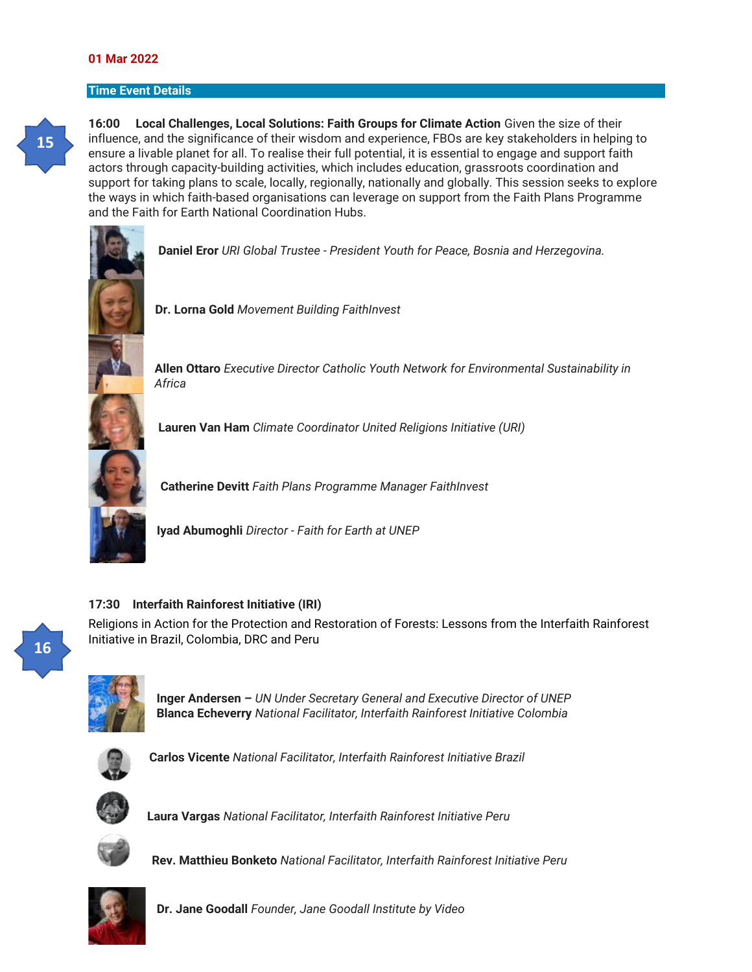### **01 Mar 2022**

### **Time Event Details**

**15**

**16:00 Local Challenges, Local Solutions: Faith Groups for Climate Action** Given the size of their influence, and the significance of their wisdom and experience, FBOs are key stakeholders in helping to ensure a livable planet for all. To realise their full potential, it is essential to engage and support faith actors through capacity-building activities, which includes education, grassroots coordination and support for taking plans to scale, locally, regionally, nationally and globally. This session seeks to explore the ways in which faith-based organisations can leverage on support from the Faith Plans Programme and the Faith for Earth National Coordination Hubs.



**Daniel Eror** *URI Global Trustee - President Youth for Peace, Bosnia and Herzegovina.*

**Dr. Lorna Gold** *Movement Building FaithInvest*

**Allen Ottaro** *Executive Director Catholic Youth Network for Environmental Sustainability in Africa*

**Lauren Van Ham** *Climate Coordinator United Religions Initiative (URI)*

**Catherine Devitt** *Faith Plans Programme Manager FaithInvest*

**Iyad Abumoghli** *Director - Faith for Earth at UNEP*

### **17:30 Interfaith Rainforest Initiative (IRI)**

Religions in Action for the Protection and Restoration of Forests: Lessons from the Interfaith Rainforest Initiative in Brazil, Colombia, DRC and Peru



**Inger Andersen –** *UN Under Secretary General and Executive Director of UNEP* **Blanca Echeverry** *National Facilitator, Interfaith Rainforest Initiative Colombia*



**Carlos Vicente** *National Facilitator, Interfaith Rainforest Initiative Brazil*



**Laura Vargas** *National Facilitator, Interfaith Rainforest Initiative Peru*



**Rev. Matthieu Bonketo** *National Facilitator, Interfaith Rainforest Initiative Peru*



**Dr. Jane Goodall** *Founder, Jane Goodall Institute by Video*

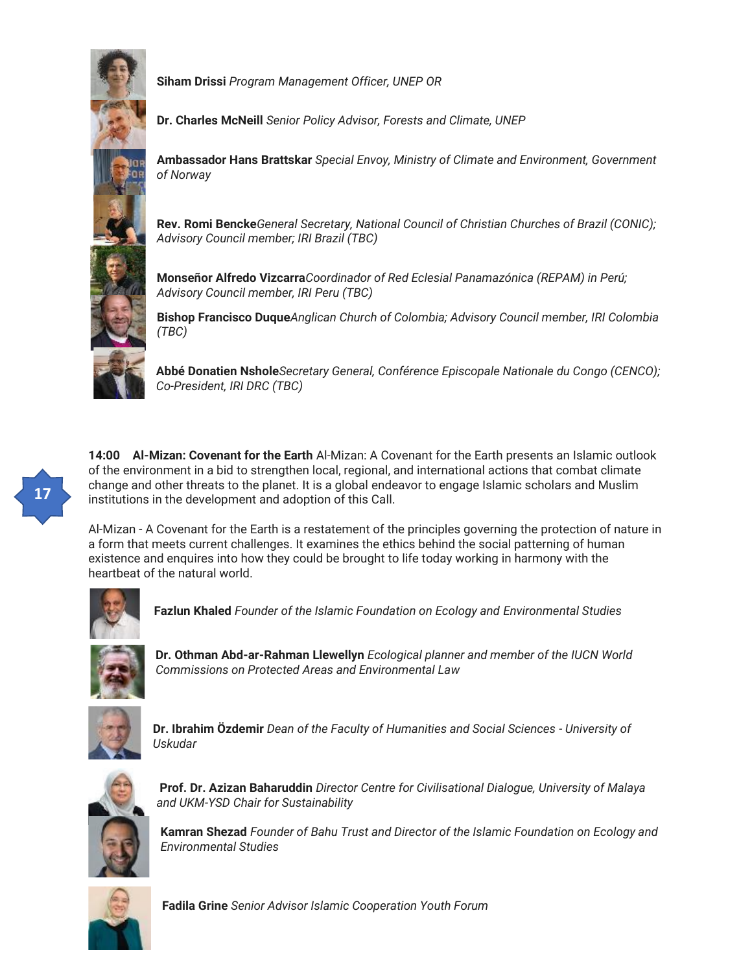

**Siham Drissi** *Program Management Officer, UNEP OR*

**Dr. Charles McNeill** *Senior Policy Advisor, Forests and Climate, UNEP*

**Ambassador Hans Brattskar** *Special Envoy, Ministry of Climate and Environment, Government of Norway*

**Rev. Romi Bencke***General Secretary, National Council of Christian Churches of Brazil (CONIC); Advisory Council member; IRI Brazil (TBC)*

**Monseñor Alfredo Vizcarra***Coordinador of Red Eclesial Panamazónica (REPAM) in Perú; Advisory Council member, IRI Peru (TBC)*

**Bishop Francisco Duque***Anglican Church of Colombia; Advisory Council member, IRI Colombia (TBC)*

**Abbé Donatien Nshole***Secretary General, Conférence Episcopale Nationale du Congo (CENCO); Co-President, IRI DRC (TBC)*

**14:00 Al-Mizan: Covenant for the Earth** Al-Mizan: A Covenant for the Earth presents an Islamic outlook of the environment in a bid to strengthen local, regional, and international actions that combat climate change and other threats to the planet. It is a global endeavor to engage Islamic scholars and Muslim institutions in the development and adoption of this Call.

Al-Mizan - A Covenant for the Earth is a restatement of the principles governing the protection of nature in a form that meets current challenges. It examines the ethics behind the social patterning of human existence and enquires into how they could be brought to life today working in harmony with the heartbeat of the natural world.



**Fazlun Khaled** *Founder of the Islamic Foundation on Ecology and Environmental Studies*



**Dr. Othman Abd-ar-Rahman Llewellyn** *Ecological planner and member of the IUCN World Commissions on Protected Areas and Environmental Law*



**Dr. Ibrahim Özdemir** *Dean of the Faculty of Humanities and Social Sciences - University of Uskudar*



**Prof. Dr. Azizan Baharuddin** *Director Centre for Civilisational Dialogue, University of Malaya and UKM-YSD Chair for Sustainability*

**Kamran Shezad** *Founder of Bahu Trust and Director of the Islamic Foundation on Ecology and Environmental Studies*



**Fadila Grine** *Senior Advisor Islamic Cooperation Youth Forum*

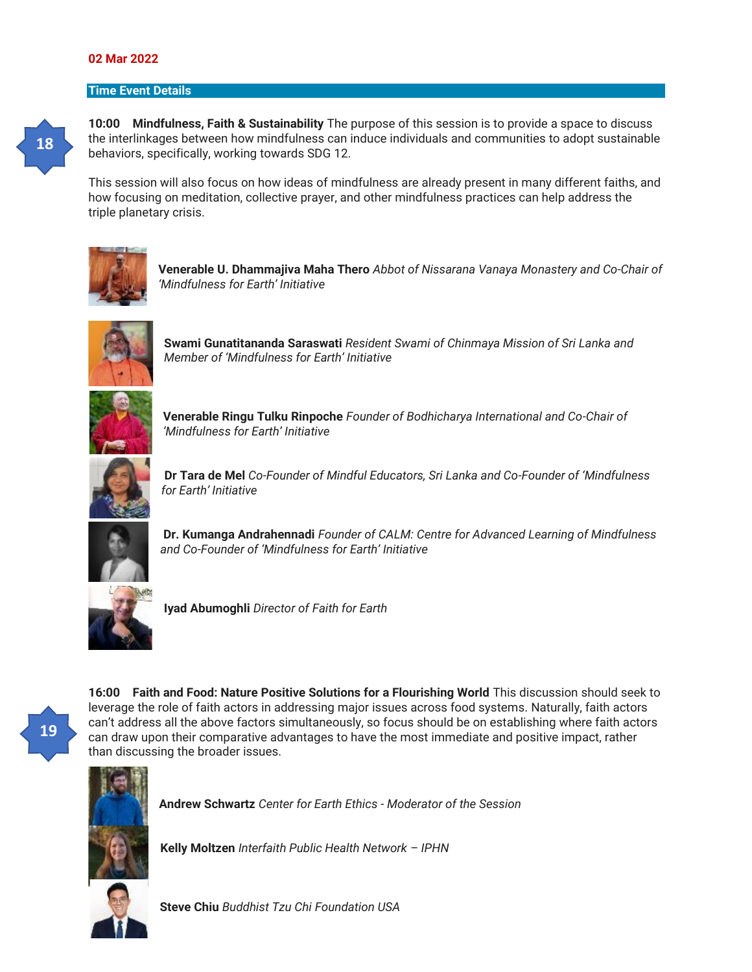### **02 Mar 2022**

#### **Time Event Details**

**10:00 Mindfulness, Faith & Sustainability** The purpose of this session is to provide a space to discuss the interlinkages between how mindfulness can induce individuals and communities to adopt sustainable behaviors, specifically, working towards SDG 12.

This session will also focus on how ideas of mindfulness are already present in many different faiths, and how focusing on meditation, collective prayer, and other mindfulness practices can help address the triple planetary crisis.



**Venerable U. Dhammajiva Maha Thero** *Abbot of Nissarana Vanaya Monastery and Co-Chair of 'Mindfulness for Earth' Initiative*



**Swami Gunatitananda Saraswati** *Resident Swami of Chinmaya Mission of Sri Lanka and Member of 'Mindfulness for Earth' Initiative*



**Venerable Ringu Tulku Rinpoche** *Founder of Bodhicharya International and Co-Chair of 'Mindfulness for Earth' Initiative*



**Dr Tara de Mel** *Co-Founder of Mindful Educators, Sri Lanka and Co-Founder of 'Mindfulness for Earth' Initiative*



**Dr. Kumanga Andrahennadi** *Founder of CALM: Centre for Advanced Learning of Mindfulness and Co-Founder of 'Mindfulness for Earth' Initiative*



**Iyad Abumoghli** *Director of Faith for Earth*

**16:00 Faith and Food: Nature Positive Solutions for a Flourishing World** This discussion should seek to leverage the role of faith actors in addressing major issues across food systems. Naturally, faith actors can't address all the above factors simultaneously, so focus should be on establishing where faith actors can draw upon their comparative advantages to have the most immediate and positive impact, rather than discussing the broader issues.



**19**

**Andrew Schwartz** *Center for Earth Ethics - Moderator of the Session*

**Kelly Moltzen** *Interfaith Public Health Network – IPHN*

**Steve Chiu** *Buddhist Tzu Chi Foundation USA*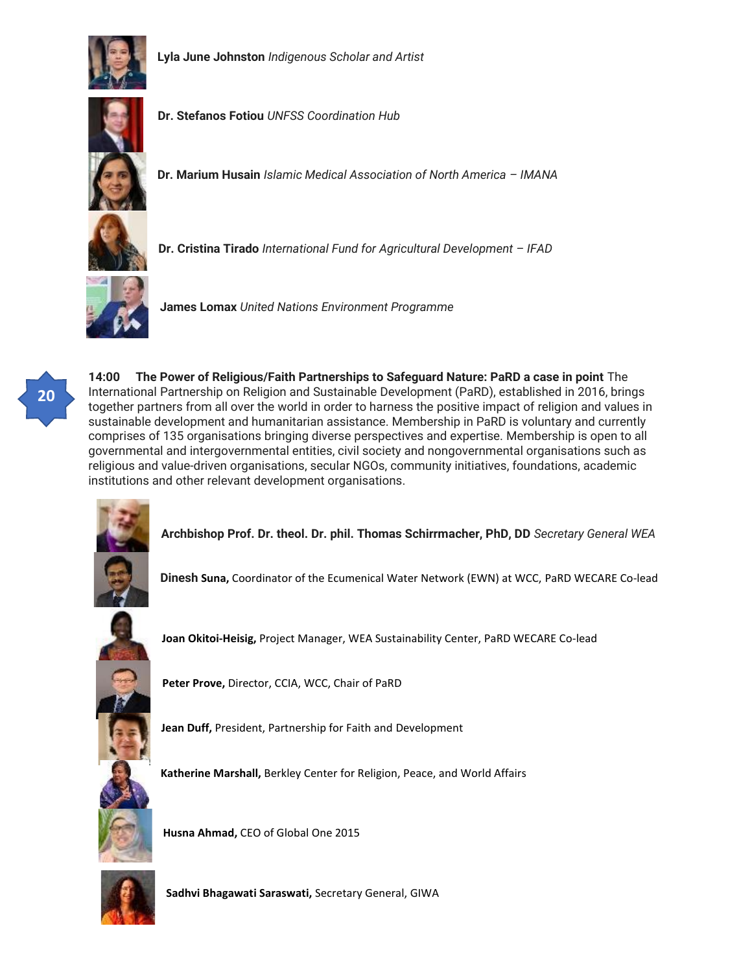

**Lyla June Johnston** *Indigenous Scholar and Artist*



**Dr. Stefanos Fotiou** *UNFSS Coordination Hub*

**Dr. Marium Husain** *Islamic Medical Association of North America – IMANA*



**Dr. Cristina Tirado** *International Fund for Agricultural Development – IFAD*



**James Lomax** *United Nations Environment Programme*



**14:00 The Power of Religious/Faith Partnerships to Safeguard Nature: PaRD a case in point** The International Partnership on Religion and Sustainable Development (PaRD), established in 2016, brings together partners from all over the world in order to harness the positive impact of religion and values in sustainable development and humanitarian assistance. Membership in PaRD is voluntary and currently comprises of 135 organisations bringing diverse perspectives and expertise. Membership is open to all governmental and intergovernmental entities, civil society and nongovernmental organisations such as religious and value-driven organisations, secular NGOs, community initiatives, foundations, academic institutions and other relevant development organisations.



**Archbishop Prof. Dr. theol. Dr. phil. Thomas Schirrmacher, PhD, DD** *Secretary General WEA*

**Dinesh Suna,** Coordinator of the Ecumenical Water Network (EWN) at WCC, PaRD WECARE Co-lead



**Joan Okitoi-Heisig,** Project Manager, WEA Sustainability Center, PaRD WECARE Co-lead

**Peter Prove,** Director, CCIA, WCC, Chair of PaRD

**Jean Duff,** President, Partnership for Faith and Development

**Katherine Marshall,** Berkley Center for Religion, Peace, and World Affairs



**Husna Ahmad,** CEO of Global One 2015

**Sadhvi Bhagawati Saraswati,** Secretary General, GIWA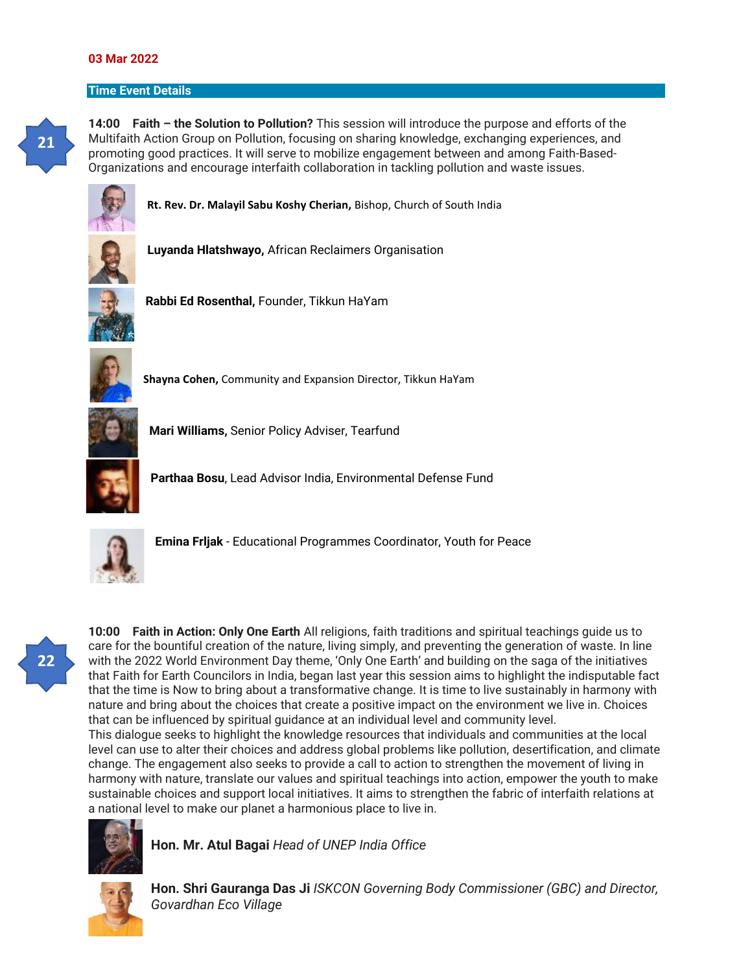### **03 Mar 2022**

### **Time Event Details**

**14:00 Faith – the Solution to Pollution?** This session will introduce the purpose and efforts of the Multifaith Action Group on Pollution, focusing on sharing knowledge, exchanging experiences, and promoting good practices. It will serve to mobilize engagement between and among Faith-Based-Organizations and encourage interfaith collaboration in tackling pollution and waste issues.



**21**

**Rt. Rev. Dr. Malayil Sabu Koshy Cherian,** Bishop, Church of South India



**Luyanda Hlatshwayo,** African Reclaimers Organisation



**Rabbi Ed Rosenthal,** Founder, Tikkun HaYam



**Shayna Cohen,** Community and Expansion Director, Tikkun HaYam



**Mari Williams,** Senior Policy Adviser, Tearfund



**Parthaa Bosu**, Lead Advisor India, Environmental Defense Fund



**Emina Frljak** - Educational Programmes Coordinator, Youth for Peace



**10:00 Faith in Action: Only One Earth** All religions, faith traditions and spiritual teachings guide us to care for the bountiful creation of the nature, living simply, and preventing the generation of waste. In line with the 2022 World Environment Day theme, 'Only One Earth' and building on the saga of the initiatives that Faith for Earth Councilors in India, began last year this session aims to highlight the indisputable fact that the time is Now to bring about a transformative change. It is time to live sustainably in harmony with nature and bring about the choices that create a positive impact on the environment we live in. Choices that can be influenced by spiritual guidance at an individual level and community level. This dialogue seeks to highlight the knowledge resources that individuals and communities at the local level can use to alter their choices and address global problems like pollution, desertification, and climate change. The engagement also seeks to provide a call to action to strengthen the movement of living in harmony with nature, translate our values and spiritual teachings into action, empower the youth to make sustainable choices and support local initiatives. It aims to strengthen the fabric of interfaith relations at



**Hon. Mr. Atul Bagai** *Head of UNEP India Office*



**Hon. Shri Gauranga Das Ji** *ISKCON Governing Body Commissioner (GBC) and Director, Govardhan Eco Village*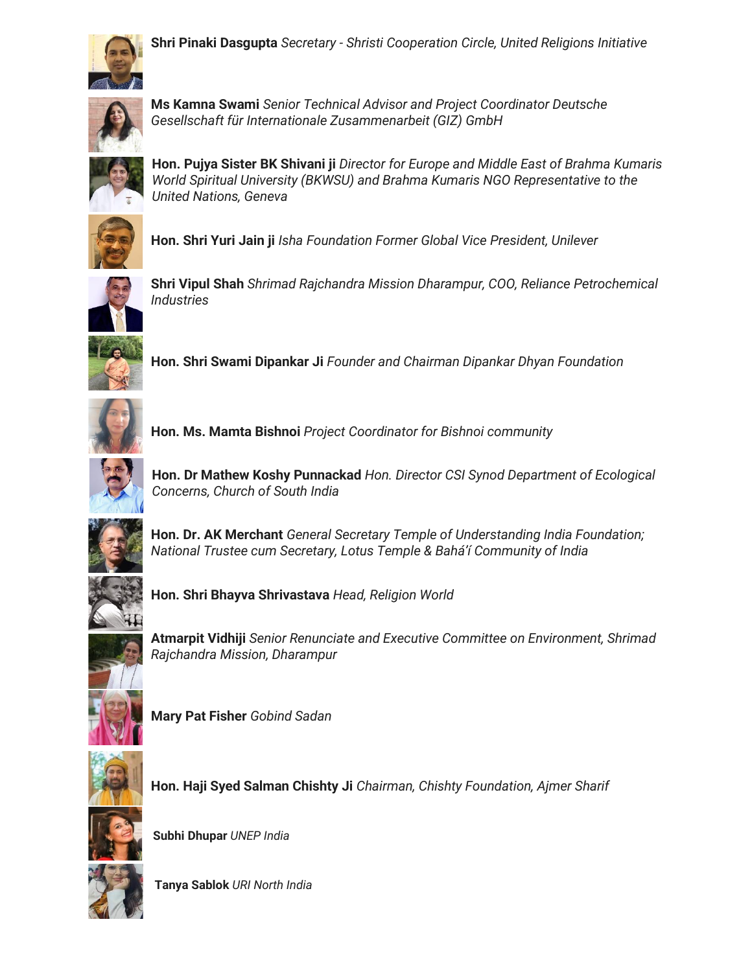

**Shri Pinaki Dasgupta** *Secretary - Shristi Cooperation Circle, United Religions Initiative*



**Ms Kamna Swami** *Senior Technical Advisor and Project Coordinator Deutsche Gesellschaft für Internationale Zusammenarbeit (GIZ) GmbH*



**Hon. Pujya Sister BK Shivani ji** *Director for Europe and Middle East of Brahma Kumaris World Spiritual University (BKWSU) and Brahma Kumaris NGO Representative to the United Nations, Geneva*



**Hon. Shri Yuri Jain ji** *Isha Foundation Former Global Vice President, Unilever*



**Shri Vipul Shah** *Shrimad Rajchandra Mission Dharampur, COO, Reliance Petrochemical Industries*



**Hon. Shri Swami Dipankar Ji** *Founder and Chairman Dipankar Dhyan Foundation*



**Hon. Ms. Mamta Bishnoi** *Project Coordinator for Bishnoi community*



**Hon. Dr Mathew Koshy Punnackad** *Hon. Director CSI Synod Department of Ecological Concerns, Church of South India*



**Hon. Dr. AK Merchant** *General Secretary Temple of Understanding India Foundation; National Trustee cum Secretary, Lotus Temple & Bahá'í Community of India*



**Hon. Shri Bhayva Shrivastava** *Head, Religion World*



**Atmarpit Vidhiji** *Senior Renunciate and Executive Committee on Environment, Shrimad Rajchandra Mission, Dharampur*



**Mary Pat Fisher** *Gobind Sadan*



**Hon. Haji Syed Salman Chishty Ji** *Chairman, Chishty Foundation, Ajmer Sharif*



**Subhi Dhupar** *UNEP India*



**Tanya Sablok** *URI North India*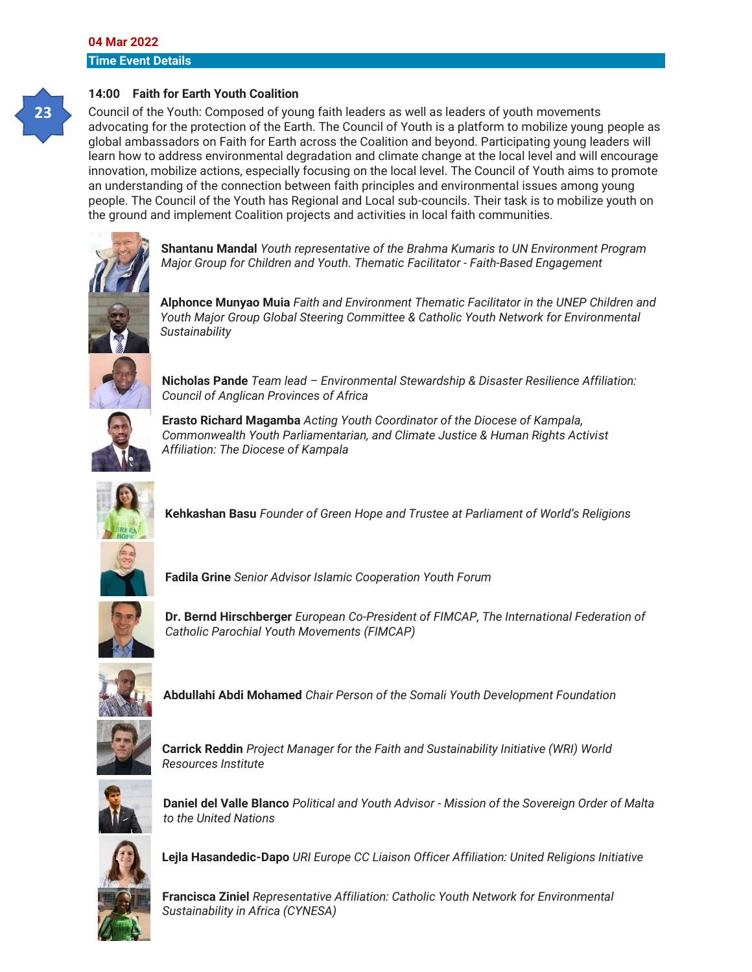

# **14:00 Faith for Earth Youth Coalition**

Council of the Youth: Composed of young faith leaders as well as leaders of youth movements advocating for the protection of the Earth. The Council of Youth is a platform to mobilize young people as global ambassadors on Faith for Earth across the Coalition and beyond. Participating young leaders will learn how to address environmental degradation and climate change at the local level and will encourage innovation, mobilize actions, especially focusing on the local level. The Council of Youth aims to promote an understanding of the connection between faith principles and environmental issues among young people. The Council of the Youth has Regional and Local sub-councils. Their task is to mobilize youth on the ground and implement Coalition projects and activities in local faith communities.



**Shantanu Mandal** *Youth representative of the Brahma Kumaris to UN Environment Program Major Group for Children and Youth. Thematic Facilitator - Faith-Based Engagement*

**Alphonce Munyao Muia** *Faith and Environment Thematic Facilitator in the UNEP Children and Youth Major Group Global Steering Committee & Catholic Youth Network for Environmental Sustainability*



**Nicholas Pande** *Team lead – Environmental Stewardship & Disaster Resilience Affiliation: Council of Anglican Provinces of Africa*



**Erasto Richard Magamba** *Acting Youth Coordinator of the Diocese of Kampala, Commonwealth Youth Parliamentarian, and Climate Justice & Human Rights Activist Affiliation: The Diocese of Kampala*



**Kehkashan Basu** *Founder of Green Hope and Trustee at Parliament of World's Religions*



**Dr. Bernd Hirschberger** *European Co-President of FIMCAP, The International Federation of Catholic Parochial Youth Movements (FIMCAP)*

**Fadila Grine** *Senior Advisor Islamic Cooperation Youth Forum*



**Abdullahi Abdi Mohamed** *Chair Person of the Somali Youth Development Foundation*



**Carrick Reddin** *Project Manager for the Faith and Sustainability Initiative (WRI) World Resources Institute*



**Daniel del Valle Blanco** *Political and Youth Advisor - Mission of the Sovereign Order of Malta to the United Nations*



**Lejla Hasandedic-Dapo** *URI Europe CC Liaison Officer Affiliation: United Religions Initiative*

**Francisca Ziniel** *Representative Affiliation: Catholic Youth Network for Environmental Sustainability in Africa (CYNESA)*